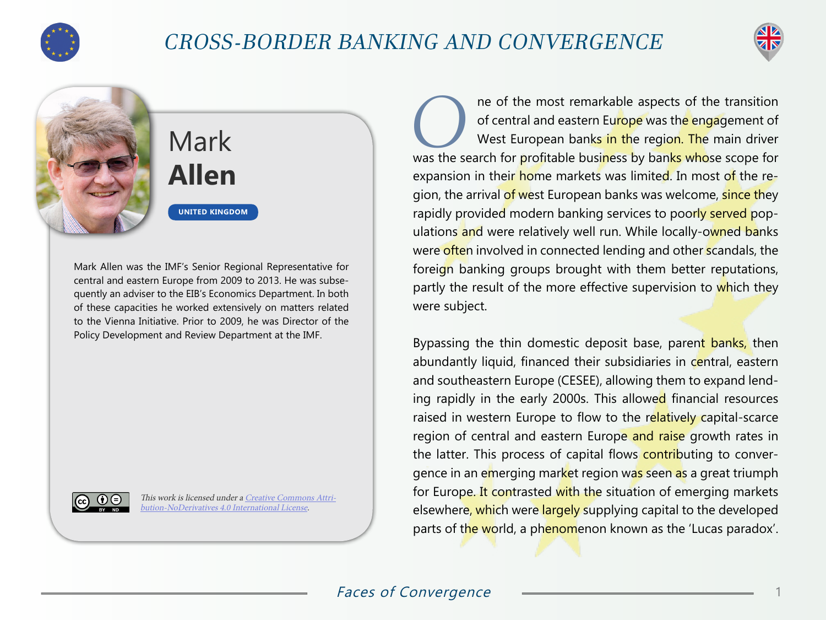

## CROSS-BORDER BANKING AND CONVERGENCE





## **Mark Allen**

**UNITED KINGDOM**

Mark Allen was the IMF's Senior Regional Representative for central and eastern Europe from 2009 to 2013. He was subsequently an adviser to the EIB's Economics Department. In both of these capacities he worked extensively on matters related to the Vienna Initiative. Prior to 2009, he was Director of the Policy Development and Review Department at the IMF.



This work is licensed under a [Creative Commons Attri](https://creativecommons.org/licenses/by-nd/4.0/)[bution-NoDerivatives 4.0 International License](https://creativecommons.org/licenses/by-nd/4.0/).

**O**ne of the most remarkable aspects of the transition of central and eastern Europe was the engagement of West European banks in the region. The main driver of central and eastern Eu<mark>rope</mark> was the engagement of West European banks in the region. The main driver was the search for profitable business by banks whose scope for expansion in their home markets was limited. In most of the region, the arrival of west European banks was welcome, since they rapidly provided modern banking services to poorly served populations and were relatively well run. While locally-owned banks were often involved in connected lending and other scandals, the foreign banking groups brought with them better reputations, partly the result of the more effective supervision to which they were subject.

Bypassing the thin domestic deposit base, parent banks, then abundantly liquid, financed their subsidiaries in central, eastern and southeastern Europe (CESEE), allowing them to expand lending rapidly in the early 2000s. This allowed financial resources raised in western Europe to flow to the relatively capital-scarce region of central and eastern Europe and raise growth rates in the latter. This process of capital flows contributing to convergence in an emerging market region was seen as a great triumph for Europe. It contrasted with the situation of emerging markets elsewhere, which were largely supplying capital to the developed parts of the world, a phenomenon known as the 'Lucas paradox'.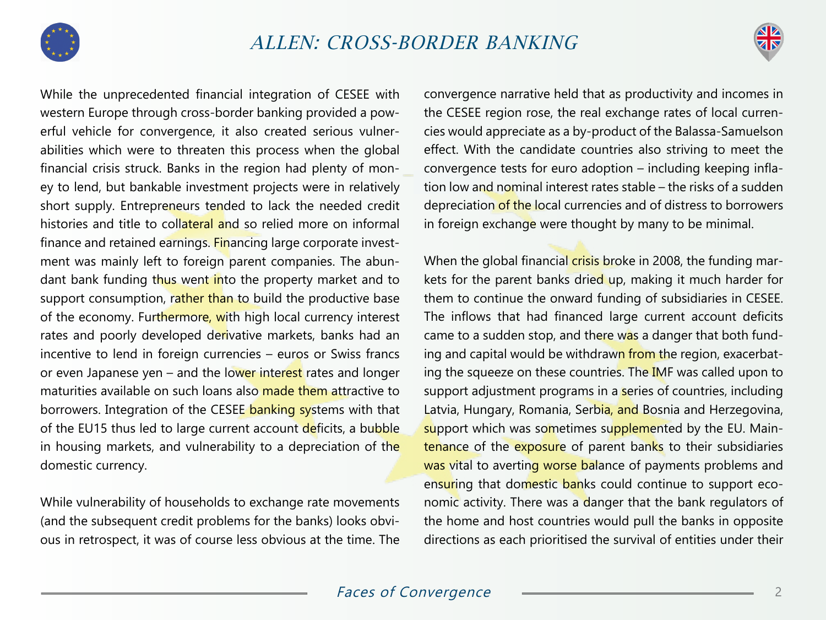



While the unprecedented financial integration of CESEE with western Europe through cross-border banking provided a powerful vehicle for convergence, it also created serious vulnerabilities which were to threaten this process when the global financial crisis struck. Banks in the region had plenty of money to lend, but bankable investment projects were in relatively short supply. Entrepreneurs tended to lack the needed credit histories and title to collateral and so relied more on informal finance and retained earnings. Financing large corporate investment was mainly left to foreign parent companies. The abundant bank funding thus went into the property market and to support consumption, rather than to build the productive base of the economy. Furthermore, with high local currency interest rates and poorly developed derivative markets, banks had an incentive to lend in foreign currencies – euros or Swiss francs or even Japanese yen – and the lower interest rates and longer maturities available on such loans also made them attractive to borrowers. Integration of the CESEE banking systems with that of the EU15 thus led to large current account deficits, a bubble in housing markets, and vulnerability to a depreciation of the domestic currency.

While vulnerability of households to exchange rate movements (and the subsequent credit problems for the banks) looks obvious in retrospect, it was of course less obvious at the time. The

convergence narrative held that as productivity and incomes in the CESEE region rose, the real exchange rates of local currencies would appreciate as a by-product of the Balassa-Samuelson effect. With the candidate countries also striving to meet the convergence tests for euro adoption – including keeping inflation low and nominal interest rates stable – the risks of a sudden depreciation of the local currencies and of distress to borrowers in foreign exchange were thought by many to be minimal.

When the global financial crisis broke in 2008, the funding markets for the parent banks dried up, making it much harder for them to continue the onward funding of subsidiaries in CESEE. The inflows that had financed large current account deficits came to a sudden stop, and there was a danger that both funding and capital would be withdrawn from the region, exacerbating the squeeze on these countries. The IMF was called upon to support adjustment programs in a series of countries, including Latvia, Hungary, Romania, Serbia, and Bosnia and Herzegovina, support which was sometimes supplemented by the EU. Maintenance of the exposure of parent banks to their subsidiaries was vital to averting worse balance of payments problems and ensuring that domestic banks could continue to support economic activity. There was a danger that the bank regulators of the home and host countries would pull the banks in opposite directions as each prioritised the survival of entities under their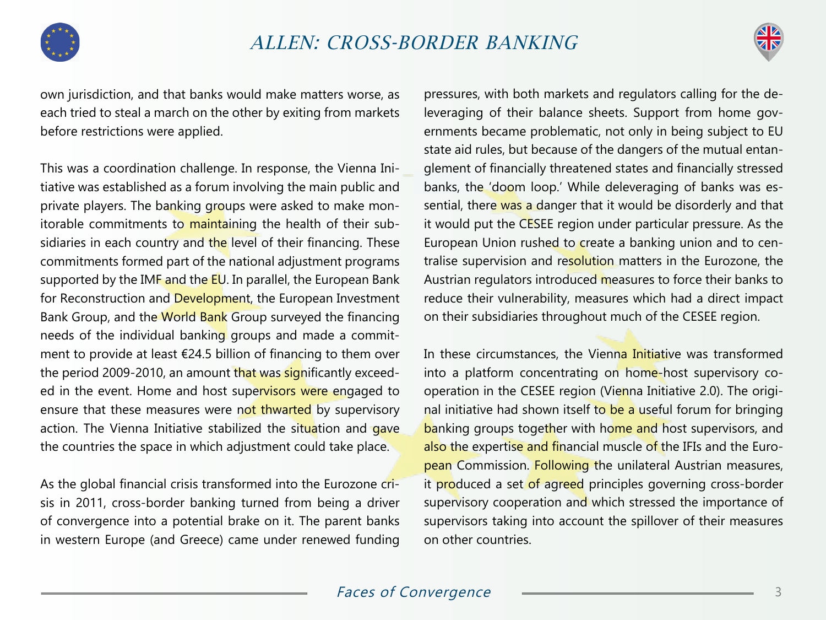

## ALLEN: CROSS-BORDER BANKING



own jurisdiction, and that banks would make matters worse, as each tried to steal a march on the other by exiting from markets before restrictions were applied.

This was a coordination challenge. In response, the Vienna Initiative was established as a forum involving the main public and private players. The banking groups were asked to make monitorable commitments to maintaining the health of their subsidiaries in each country and the level of their financing. These commitments formed part of the national adjustment programs supported by the IMF and the EU. In parallel, the European Bank for Reconstruction and Development, the European Investment Bank Group, and the World Bank Group surveyed the financing needs of the individual banking groups and made a commitment to provide at least €24.5 billion of financing to them over the period 2009-2010, an amount that was significantly exceeded in the event. Home and host supervisors were engaged to ensure that these measures were not thwarted by supervisory action. The Vienna Initiative stabilized the situation and gave the countries the space in which adjustment could take place.

As the global financial crisis transformed into the Eurozone crisis in 2011, cross-border banking turned from being a driver of convergence into a potential brake on it. The parent banks in western Europe (and Greece) came under renewed funding

pressures, with both markets and regulators calling for the deleveraging of their balance sheets. Support from home governments became problematic, not only in being subject to EU state aid rules, but because of the dangers of the mutual entanglement of financially threatened states and financially stressed banks, the 'doom loop.' While deleveraging of banks was essential, there was a danger that it would be disorderly and that it would put the CESEE region under particular pressure. As the European Union rushed to create a banking union and to centralise supervision and resolution matters in the Eurozone, the Austrian regulators introduced measures to force their banks to reduce their vulnerability, measures which had a direct impact on their subsidiaries throughout much of the CESEE region.

In these circumstances, the Vienna Initiative was transformed into a platform concentrating on home-host supervisory cooperation in the CESEE region (Vienna Initiative 2.0). The original initiative had shown itself to be a useful forum for bringing banking groups together with home and host supervisors, and also the expertise and financial muscle of the IFIs and the European Commission. Following the unilateral Austrian measures, it produced a set of agreed principles governing cross-border supervisory cooperation and which stressed the importance of supervisors taking into account the spillover of their measures on other countries.